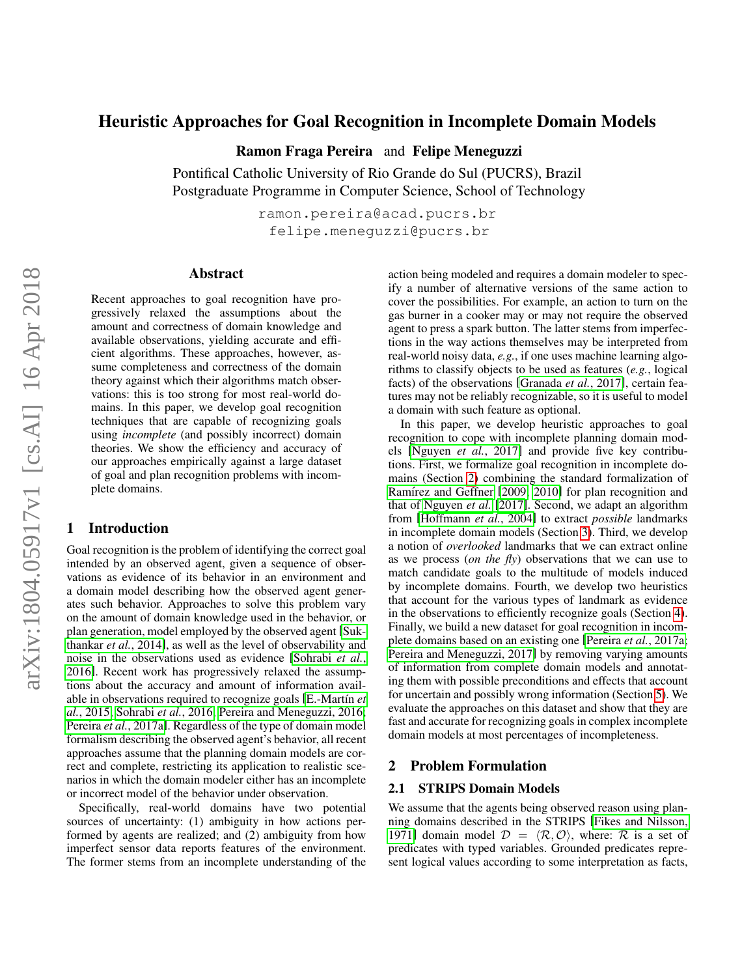# Heuristic Approaches for Goal Recognition in Incomplete Domain Models

Ramon Fraga Pereira and Felipe Meneguzzi

Pontifical Catholic University of Rio Grande do Sul (PUCRS), Brazil Postgraduate Programme in Computer Science, School of Technology

> ramon.pereira@acad.pucrs.br felipe.meneguzzi@pucrs.br

### Abstract

Recent approaches to goal recognition have progressively relaxed the assumptions about the amount and correctness of domain knowledge and available observations, yielding accurate and efficient algorithms. These approaches, however, assume completeness and correctness of the domain theory against which their algorithms match observations: this is too strong for most real-world domains. In this paper, we develop goal recognition techniques that are capable of recognizing goals using *incomplete* (and possibly incorrect) domain theories. We show the efficiency and accuracy of our approaches empirically against a large dataset of goal and plan recognition problems with incomplete domains.

## 1 Introduction

Goal recognition is the problem of identifying the correct goal intended by an observed agent, given a sequence of observations as evidence of its behavior in an environment and a domain model describing how the observed agent generates such behavior. Approaches to solve this problem vary on the amount of domain knowledge used in the behavior, or plan generation, model employed by the observed agent [\[Suk](#page-6-0)[thankar](#page-6-0) *et al.*, 2014], as well as the level of observability and noise in the observations used as evidence [\[Sohrabi](#page-6-1) *et al.*, [2016\]](#page-6-1). Recent work has progressively relaxed the assumptions about the accuracy and amount of information available in observations required to recognize goals [E.-Martín et *al.*[, 2015;](#page-6-2) [Sohrabi](#page-6-1) *et al.*, 2016; [Pereira and Meneguzzi, 2016;](#page-6-3) Pereira *et al.*[, 2017a\]](#page-6-4). Regardless of the type of domain model formalism describing the observed agent's behavior, all recent approaches assume that the planning domain models are correct and complete, restricting its application to realistic scenarios in which the domain modeler either has an incomplete or incorrect model of the behavior under observation.

Specifically, real-world domains have two potential sources of uncertainty: (1) ambiguity in how actions performed by agents are realized; and (2) ambiguity from how imperfect sensor data reports features of the environment. The former stems from an incomplete understanding of the action being modeled and requires a domain modeler to specify a number of alternative versions of the same action to cover the possibilities. For example, an action to turn on the gas burner in a cooker may or may not require the observed agent to press a spark button. The latter stems from imperfections in the way actions themselves may be interpreted from real-world noisy data, *e.g.*, if one uses machine learning algorithms to classify objects to be used as features (*e.g.*, logical facts) of the observations [\[Granada](#page-6-5) *et al.*, 2017], certain features may not be reliably recognizable, so it is useful to model a domain with such feature as optional.

In this paper, we develop heuristic approaches to goal recognition to cope with incomplete planning domain models [\[Nguyen](#page-6-6) *et al.*, 2017] and provide five key contributions. First, we formalize goal recognition in incomplete domains (Section [2\)](#page-0-0) combining the standard formalization of Ramírez and Geffner [\[2009;](#page-6-8) [2010\]](#page-6-7) for plan recognition and that of [Nguyen](#page-6-6) *et al.* [\[2017\]](#page-6-6). Second, we adapt an algorithm from [\[Hoffmann](#page-6-9) *et al.*, 2004] to extract *possible* landmarks in incomplete domain models (Section [3\)](#page-2-0). Third, we develop a notion of *overlooked* landmarks that we can extract online as we process (*on the fly*) observations that we can use to match candidate goals to the multitude of models induced by incomplete domains. Fourth, we develop two heuristics that account for the various types of landmark as evidence in the observations to efficiently recognize goals (Section [4\)](#page-2-1). Finally, we build a new dataset for goal recognition in incomplete domains based on an existing one [\[Pereira](#page-6-4) *et al.*, 2017a; [Pereira and Meneguzzi, 2017\]](#page-6-10) by removing varying amounts of information from complete domain models and annotating them with possible preconditions and effects that account for uncertain and possibly wrong information (Section [5\)](#page-3-0). We evaluate the approaches on this dataset and show that they are fast and accurate for recognizing goals in complex incomplete domain models at most percentages of incompleteness.

## <span id="page-0-0"></span>2 Problem Formulation

## 2.1 STRIPS Domain Models

We assume that the agents being observed reason using planning domains described in the STRIPS [\[Fikes and Nilsson,](#page-6-11) [1971\]](#page-6-11) domain model  $\mathcal{D} = \langle \mathcal{R}, \mathcal{O} \rangle$ , where: R is a set of predicates with typed variables. Grounded predicates represent logical values according to some interpretation as facts,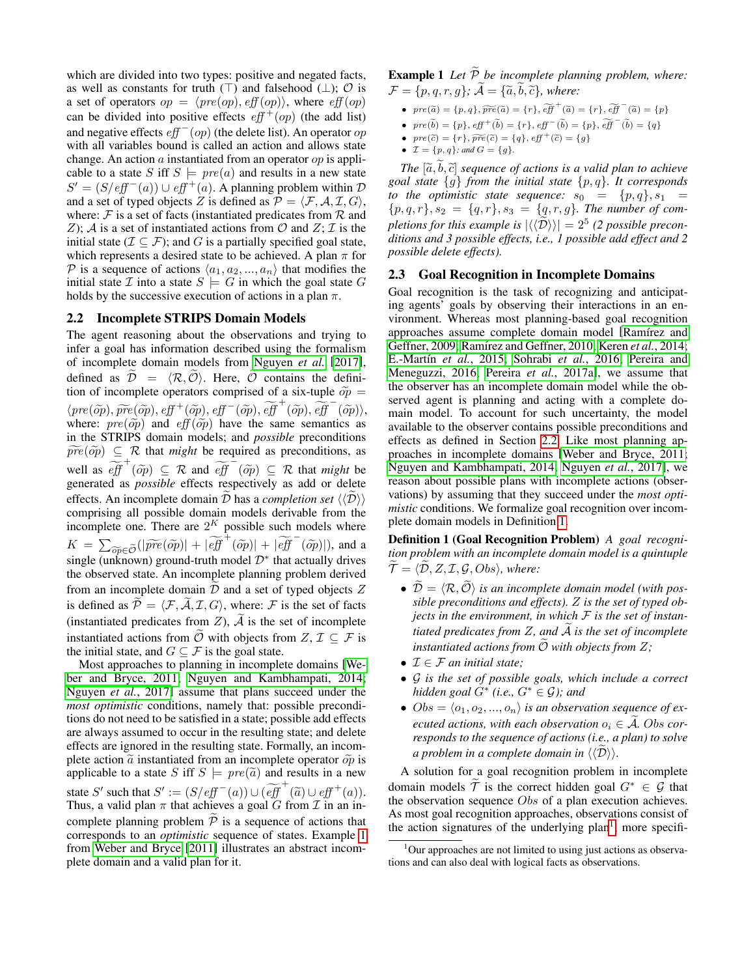which are divided into two types: positive and negated facts, as well as constants for truth  $(\top)$  and falsehood  $(\bot)$ ;  $\mathcal O$  is a set of operators  $op = \langle pre(op), eff(op)\rangle$ , where  $eff(op)$ can be divided into positive effects  $eff<sup>+</sup>(op)$  (the add list) and negative effects  $eff<sup>-</sup>(op)$  (the delete list). An operator op with all variables bound is called an action and allows state change. An action  $\alpha$  instantiated from an operator  $\alpha p$  is applicable to a state S iff  $S \models \text{pre}(a)$  and results in a new state  $S' = (S/eff^-(a)) \cup eff^+(a)$ . A planning problem within  $D$ and a set of typed objects Z is defined as  $P = \langle F, A, I, G \rangle$ , where:  $\mathcal F$  is a set of facts (instantiated predicates from  $\mathcal R$  and Z); A is a set of instantiated actions from O and  $Z$ ; T is the initial state ( $\mathcal{I} \subseteq \mathcal{F}$ ); and G is a partially specified goal state, which represents a desired state to be achieved. A plan  $\pi$  for P is a sequence of actions  $\langle a_1, a_2, ..., a_n \rangle$  that modifies the initial state  $\mathcal I$  into a state  $S \models G$  in which the goal state G holds by the successive execution of actions in a plan  $\pi$ .

### <span id="page-1-1"></span>2.2 Incomplete STRIPS Domain Models

The agent reasoning about the observations and trying to infer a goal has information described using the formalism of incomplete domain models from [Nguyen](#page-6-6) *et al.* [\[2017\]](#page-6-6), defined as  $\widetilde{\mathcal{D}} = \langle \mathcal{R}, \widetilde{\mathcal{O}} \rangle$ . Here,  $\widetilde{\mathcal{O}}$  contains the definition of incomplete operators comprised of a six-tuple  $\tilde{op}$  =  $\langle pre(\widetilde{op}), \widetilde{pre}(\widetilde{op}), eff^+(\widetilde{op}), eff^-(\widetilde{op}), \widetilde{eff}^+(\widetilde{op}), eff^-(\widetilde{op})\rangle$ <br>where:  $pre(\widetilde{op})$  and  $eff(\widetilde{op})$  have the same semantics as where:  $pre(\tilde{op})$  and  $eff(\tilde{op})$  have the same semantics as in the STRIPS domain models; and *possible* preconditions  $\widetilde{pre}(\widetilde{op}) \subseteq \mathcal{R}$  that *might* be required as preconditions, as well as  $\widetilde{eff}^+(\widetilde{op}) \subseteq \mathcal{R}$  and  $\widetilde{eff}^-(\widetilde{op}) \subseteq \mathcal{R}$  that *might* be generated as *possible* effects respectively as add or delete generated as *possible* effects respectively as add or delete effects. An incomplete domain  $\overline{\mathcal{D}}$  has a *completion set*  $\langle \langle \overline{\mathcal{D}} \rangle \rangle$ comprising all possible domain models derivable from the incomplete one. There are  $2^{K}$  possible such models where  $K = \sum_{\widetilde{opp} \in \widetilde{\mathcal{O}}} (|\widetilde{pre}(\widetilde{op})| + |\widetilde{eff}^+(\widetilde{op})| + |\widetilde{eff}^-(\widetilde{op})|),$  and a single (unknown) ground truth model  $\mathcal{D}^*$  that actually drives single (unknown) ground-truth model  $\mathcal{D}^*$  that actually drives the observed state. An incomplete planning problem derived from an incomplete domain  $\overline{D}$  and a set of typed objects  $Z$ is defined as  $\widetilde{\mathcal{P}} = \langle \mathcal{F}, \widetilde{\mathcal{A}}, \mathcal{I}, G \rangle$ , where:  $\mathcal{F}$  is the set of facts (instantiated predicates from  $Z$ ),  $A$  is the set of incomplete instantiated actions from  $\ddot{\mathcal{O}}$  with objects from  $Z, \mathcal{I} \subseteq \mathcal{F}$  is the initial state, and  $G \subseteq \mathcal{F}$  is the goal state.

<span id="page-1-0"></span>Most approaches to planning in incomplete domains [\[We](#page-6-12)[ber and Bryce, 2011;](#page-6-12) [Nguyen and Kambhampati, 2014;](#page-6-13) [Nguyen](#page-6-6) *et al.*, 2017] assume that plans succeed under the *most optimistic* conditions, namely that: possible preconditions do not need to be satisfied in a state; possible add effects are always assumed to occur in the resulting state; and delete effects are ignored in the resulting state. Formally, an incomplete action  $\tilde{a}$  instantiated from an incomplete operator  $\tilde{op}$  is applicable to a state S iff  $S \models pre(\tilde{a})$  and results in a new state S' such that  $S' := (S/eff^-(a)) \cup (\widetilde{eff}^+(\widetilde{a}) \cup eff^+(a)).$ <br>Thus a valid plan  $\pi$  that achieves a goal G from T in an in-Thus, a valid plan  $\pi$  that achieves a goal G from  $\mathcal I$  in an incomplete planning problem  $\tilde{P}$  is a sequence of actions that corresponds to an *optimistic* sequence of states. Example [1](#page-1-0) from [Weber and Bryce](#page-6-12) [\[2011\]](#page-6-12) illustrates an abstract incomplete domain and a valid plan for it.

**Example 1** Let  $\widetilde{P}$  be incomplete planning problem, where:  $\mathcal{F} = \{p, q, r, q\}$ ;  $\widetilde{\mathcal{A}} = \{\widetilde{a}, \widetilde{b}, \widetilde{c}\}$ , where:

- $pre(\widetilde{a}) = \{p, q\}, \widetilde{pre}(\widetilde{a}) = \{r\}, \widetilde{eff}^+(\widetilde{a}) = \{r\}, \widetilde{eff}^-(\widetilde{a}) = \{p\}$
- $\text{pre}(\tilde{b}) = \{p\}, \text{eff}^+(\tilde{b}) = \{r\}, \text{eff}^-(\tilde{b}) = \{p\}, \widetilde{\text{eff}}^-(\tilde{b}) = \{q\}$
- $pre(\widetilde{c}) = \{r\}, \widetilde{pre}(\widetilde{c}) = \{q\}, \text{eff}^+(\widetilde{c}) = \{g\}$
- $\mathcal{I} = \{p, q\}$ *; and*  $G = \{g\}$ *.*

*The*  $[\tilde{a}, b, \tilde{c}]$  *sequence of actions is a valid plan to achieve goal state* {g} *from the initial state* {p, q}*. It corresponds to the optimistic state sequence:*  $s_0 = \{p, q\}, s_1 =$  ${p, q, r}, s_2 = {q, r}, s_3 = {q, r, g}.$  The number of com*pletions for this example is*  $|\langle \langle \tilde{\mathcal{D}} \rangle \rangle| = 2^5$  (2 possible precon-<br>distance and 2 possible effects in a longitude and definitional 2 *ditions and 3 possible effects, i.e., 1 possible add effect and 2 possible delete effects).*

#### 2.3 Goal Recognition in Incomplete Domains

Goal recognition is the task of recognizing and anticipating agents' goals by observing their interactions in an environment. Whereas most planning-based goal recognition approaches assume complete domain model [Ramírez and [Geffner, 2009;](#page-6-8) Ramírez and Geffner, 2010; Keren et al.[, 2014;](#page-6-14) E.-Martín et al., 2015; [Sohrabi](#page-6-1) et al., 2016; [Pereira and](#page-6-3) [Meneguzzi, 2016;](#page-6-3) Pereira *et al.*[, 2017a\]](#page-6-4), we assume that the observer has an incomplete domain model while the observed agent is planning and acting with a complete domain model. To account for such uncertainty, the model available to the observer contains possible preconditions and effects as defined in Section [2.2.](#page-1-1) Like most planning approaches in incomplete domains [\[Weber and Bryce, 2011;](#page-6-12) [Nguyen and Kambhampati, 2014;](#page-6-13) [Nguyen](#page-6-6) *et al.*, 2017], we reason about possible plans with incomplete actions (observations) by assuming that they succeed under the *most optimistic* conditions. We formalize goal recognition over incomplete domain models in Definition [1.](#page-1-2)

<span id="page-1-2"></span>Definition 1 (Goal Recognition Problem) *A goal recognition problem with an incomplete domain model is a quintuple*  $\mathcal{T} = \langle \mathcal{D}, Z, \mathcal{I}, \mathcal{G}, Obs \rangle$ , where:

- $\bullet \ \widetilde{\mathcal{D}} = \langle \mathcal{R}, \widetilde{\mathcal{O}} \rangle$  is an incomplete domain model (with pos*sible preconditions and effects).* Z *is the set of typed objects in the environment, in which*  $F$  *is the set of instantiated predicates from*  $Z$ *, and*  $\overline{A}$  *is the set of incomplete instantiated actions from*  $\overline{O}$  *with objects from*  $Z$ ;
- I ∈ F *an initial state;*
- G *is the set of possible goals, which include a correct hidden goal* G<sup>∗</sup> *(i.e.,* G<sup>∗</sup> ∈ G*); and*
- $Obs = \langle o_1, o_2, ..., o_n \rangle$  *is an observation sequence of executed actions, with each observation*  $o_i \in \mathcal{A}$ *. Obs corresponds to the sequence of actions (i.e., a plan) to solve a problem in a complete domain in*  $\langle \langle \tilde{D} \rangle \rangle$ .

A solution for a goal recognition problem in incomplete domain models  $\widetilde{T}$  is the correct hidden goal  $G^* \in \mathcal{G}$  that the observation sequence Obs of a plan execution achieves. As most goal recognition approaches, observations consist of the action signatures of the underlying plan<sup>[1](#page-1-3)</sup>, more specifi-

<span id="page-1-3"></span> $1$ Our approaches are not limited to using just actions as observations and can also deal with logical facts as observations.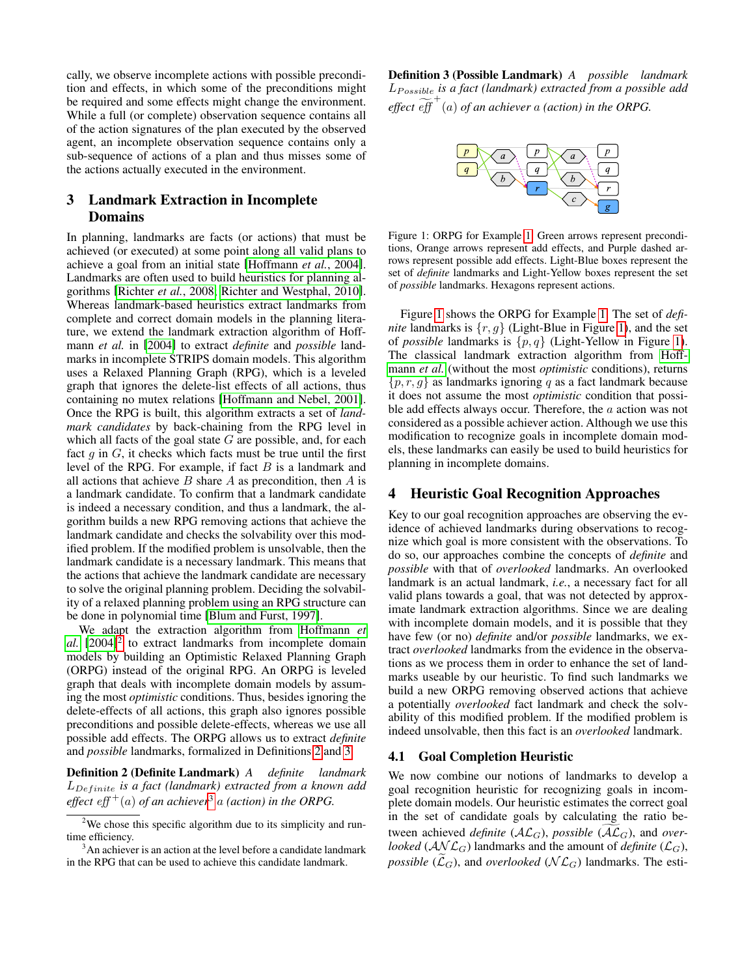cally, we observe incomplete actions with possible precondition and effects, in which some of the preconditions might be required and some effects might change the environment. While a full (or complete) observation sequence contains all of the action signatures of the plan executed by the observed agent, an incomplete observation sequence contains only a sub-sequence of actions of a plan and thus misses some of the actions actually executed in the environment.

# <span id="page-2-0"></span>3 Landmark Extraction in Incomplete Domains

In planning, landmarks are facts (or actions) that must be achieved (or executed) at some point along all valid plans to achieve a goal from an initial state [\[Hoffmann](#page-6-9) *et al.*, 2004]. Landmarks are often used to build heuristics for planning algorithms [\[Richter](#page-6-15) *et al.*, 2008; [Richter and Westphal, 2010\]](#page-6-16). Whereas landmark-based heuristics extract landmarks from complete and correct domain models in the planning literature, we extend the landmark extraction algorithm of Hoffmann *et al.* in [\[2004\]](#page-6-9) to extract *definite* and *possible* landmarks in incomplete STRIPS domain models. This algorithm uses a Relaxed Planning Graph (RPG), which is a leveled graph that ignores the delete-list effects of all actions, thus containing no mutex relations [\[Hoffmann and Nebel, 2001\]](#page-6-17). Once the RPG is built, this algorithm extracts a set of *landmark candidates* by back-chaining from the RPG level in which all facts of the goal state  $G$  are possible, and, for each fact  $g$  in  $G$ , it checks which facts must be true until the first level of the RPG. For example, if fact  $B$  is a landmark and all actions that achieve  $B$  share  $A$  as precondition, then  $A$  is a landmark candidate. To confirm that a landmark candidate is indeed a necessary condition, and thus a landmark, the algorithm builds a new RPG removing actions that achieve the landmark candidate and checks the solvability over this modified problem. If the modified problem is unsolvable, then the landmark candidate is a necessary landmark. This means that the actions that achieve the landmark candidate are necessary to solve the original planning problem. Deciding the solvability of a relaxed planning problem using an RPG structure can be done in polynomial time [\[Blum and Furst, 1997\]](#page-6-18).

We adapt the extraction algorithm from [Hoffmann](#page-6-9) *et*  $al.$   $[2004]$ <sup>[2](#page-2-2)</sup> to extract landmarks from incomplete domain models by building an Optimistic Relaxed Planning Graph (ORPG) instead of the original RPG. An ORPG is leveled graph that deals with incomplete domain models by assuming the most *optimistic* conditions. Thus, besides ignoring the delete-effects of all actions, this graph also ignores possible preconditions and possible delete-effects, whereas we use all possible add effects. The ORPG allows us to extract *definite* and *possible* landmarks, formalized in Definitions [2](#page-2-3) and [3.](#page-2-4)

<span id="page-2-3"></span>Definition 2 (Definite Landmark) *A definite landmark* LDef inite *is a fact (landmark) extracted from a known add effect*  $eff^+(a)$  *of an achiever*<sup>[3](#page-2-5)</sup> *a (action) in the ORPG.* 

<span id="page-2-6"></span>Definition 3 (Possible Landmark) *A possible landmark* LP ossible *is a fact (landmark) extracted from a possible add effect*  $\widetilde{eff}^+(a)$  *of an achiever* a *(action) in the ORPG*.



Figure 1: ORPG for Example [1.](#page-1-0) Green arrows represent preconditions, Orange arrows represent add effects, and Purple dashed arrows represent possible add effects. Light-Blue boxes represent the set of *definite* landmarks and Light-Yellow boxes represent the set of *possible* landmarks. Hexagons represent actions.

Figure [1](#page-2-6) shows the ORPG for Example [1.](#page-1-0) The set of *definite* landmarks is  $\{r, q\}$  (Light-Blue in Figure [1\)](#page-2-6), and the set of *possible* landmarks is  $\{p, q\}$  (Light-Yellow in Figure [1\)](#page-2-6). The classical landmark extraction algorithm from [Hoff](#page-6-9)[mann](#page-6-9) *et al.* (without the most *optimistic* conditions), returns  $\{p, r, q\}$  as landmarks ignoring q as a fact landmark because it does not assume the most *optimistic* condition that possible add effects always occur. Therefore, the a action was not considered as a possible achiever action. Although we use this modification to recognize goals in incomplete domain models, these landmarks can easily be used to build heuristics for planning in incomplete domains.

## <span id="page-2-1"></span>4 Heuristic Goal Recognition Approaches

Key to our goal recognition approaches are observing the evidence of achieved landmarks during observations to recognize which goal is more consistent with the observations. To do so, our approaches combine the concepts of *definite* and *possible* with that of *overlooked* landmarks. An overlooked landmark is an actual landmark, *i.e.*, a necessary fact for all valid plans towards a goal, that was not detected by approximate landmark extraction algorithms. Since we are dealing with incomplete domain models, and it is possible that they have few (or no) *definite* and/or *possible* landmarks, we extract *overlooked* landmarks from the evidence in the observations as we process them in order to enhance the set of landmarks useable by our heuristic. To find such landmarks we build a new ORPG removing observed actions that achieve a potentially *overlooked* fact landmark and check the solvability of this modified problem. If the modified problem is indeed unsolvable, then this fact is an *overlooked* landmark.

## 4.1 Goal Completion Heuristic

We now combine our notions of landmarks to develop a goal recognition heuristic for recognizing goals in incomplete domain models. Our heuristic estimates the correct goal in the set of candidate goals by calculating the ratio between achieved *definite* ( $A\mathcal{L}_G$ ), *possible* ( $A\mathcal{L}_G$ ), and *overlooked* ( $\mathcal{A} \mathcal{N} \mathcal{L}_G$ ) landmarks and the amount of *definite* ( $\mathcal{L}_G$ ), *possible*  $(\widetilde{\mathcal{L}}_G)$ , and *overlooked* ( $\mathcal{NL}_G$ ) landmarks. The esti-

<span id="page-2-4"></span><span id="page-2-2"></span><sup>&</sup>lt;sup>2</sup>We chose this specific algorithm due to its simplicity and runtime efficiency.

<span id="page-2-5"></span> $3<sup>3</sup>$ An achiever is an action at the level before a candidate landmark in the RPG that can be used to achieve this candidate landmark.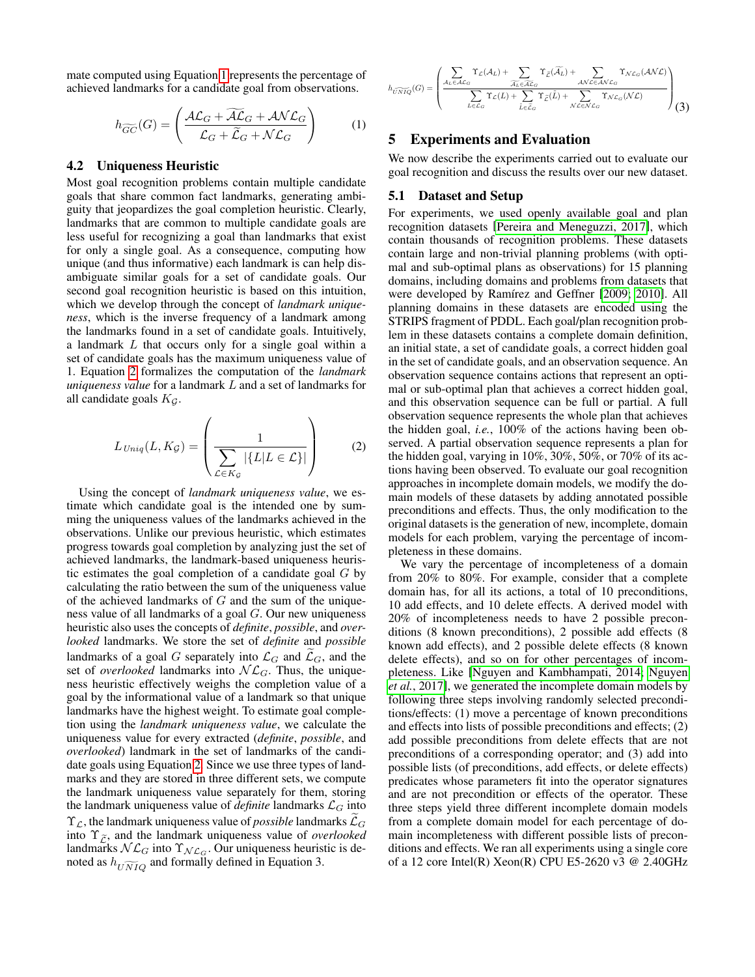mate computed using Equation [1](#page-3-1) represents the percentage of achieved landmarks for a candidate goal from observations.

<span id="page-3-1"></span>
$$
h_{\widetilde{GC}}(G) = \left(\frac{\mathcal{AL}_G + \widetilde{\mathcal{AL}}_G + \mathcal{ANL}_G}{\mathcal{L}_G + \widetilde{\mathcal{L}}_G + \mathcal{NL}_G}\right) \tag{1}
$$

### 4.2 Uniqueness Heuristic

Most goal recognition problems contain multiple candidate goals that share common fact landmarks, generating ambiguity that jeopardizes the goal completion heuristic. Clearly, landmarks that are common to multiple candidate goals are less useful for recognizing a goal than landmarks that exist for only a single goal. As a consequence, computing how unique (and thus informative) each landmark is can help disambiguate similar goals for a set of candidate goals. Our second goal recognition heuristic is based on this intuition, which we develop through the concept of *landmark uniqueness*, which is the inverse frequency of a landmark among the landmarks found in a set of candidate goals. Intuitively, a landmark L that occurs only for a single goal within a set of candidate goals has the maximum uniqueness value of 1. Equation [2](#page-3-2) formalizes the computation of the *landmark uniqueness value* for a landmark L and a set of landmarks for all candidate goals  $K<sub>G</sub>$ .

<span id="page-3-2"></span>
$$
L_{\text{Uniq}}(L, K_{\mathcal{G}}) = \left(\frac{1}{\sum_{\mathcal{L} \in K_{\mathcal{G}}} |\{L | L \in \mathcal{L}\}|}\right) \tag{2}
$$

Using the concept of *landmark uniqueness value*, we estimate which candidate goal is the intended one by summing the uniqueness values of the landmarks achieved in the observations. Unlike our previous heuristic, which estimates progress towards goal completion by analyzing just the set of achieved landmarks, the landmark-based uniqueness heuristic estimates the goal completion of a candidate goal  $G$  by calculating the ratio between the sum of the uniqueness value of the achieved landmarks of  $G$  and the sum of the uniqueness value of all landmarks of a goal G. Our new uniqueness heuristic also uses the concepts of *definite*, *possible*, and *overlooked* landmarks. We store the set of *definite* and *possible* landmarks of a goal G separately into  $\mathcal{L}_G$  and  $\mathcal{L}_G$ , and the set of *overlooked* landmarks into  $\mathcal{NL}_G$ . Thus, the uniqueness heuristic effectively weighs the completion value of a goal by the informational value of a landmark so that unique landmarks have the highest weight. To estimate goal completion using the *landmark uniqueness value*, we calculate the uniqueness value for every extracted (*definite*, *possible*, and *overlooked*) landmark in the set of landmarks of the candidate goals using Equation [2.](#page-3-2) Since we use three types of landmarks and they are stored in three different sets, we compute the landmark uniqueness value separately for them, storing the landmark uniqueness value of *definite* landmarks  $\mathcal{L}_G$  into  $\Upsilon_{\mathcal{L}}$ , the landmark uniqueness value of *possible* landmarks  $\widetilde{\mathcal{L}}_G$ into  $\Upsilon_{\tilde{c}}$ , and the landmark uniqueness value of *overlooked* landmarks  $N\mathcal{L}_G$  into  $\Upsilon_{\mathcal{NL}_G}$ . Our uniqueness heuristic is denoted as  $h_{\widetilde{UNIQ}}$  and formally defined in Equation 3.

$$
h_{\widetilde{UNIQ}}(G) = \left(\frac{\displaystyle\sum_{A_L \in \mathcal{AL}_G} \Upsilon_{\mathcal{L}}(\mathcal{A}_L) + \sum_{\widetilde{A_L} \in \widetilde{\mathcal{AL}_G}} \Upsilon_{\widetilde{\mathcal{L}}}(\widetilde{\mathcal{A}}_L) + \sum_{\mathcal{ANCE} \mathcal{ANC}_G} \Upsilon_{\mathcal{NC}}(\mathcal{ANL})}{\displaystyle\sum_{L \in \mathcal{L}_G} \Upsilon_{\mathcal{L}}(L) + \sum_{\widetilde{L} \in \widetilde{\mathcal{L}}_G} \Upsilon_{\widetilde{\mathcal{L}}}(\widetilde{L}) + \sum_{\mathcal{NL} \in \mathcal{NL}_G} \Upsilon_{\mathcal{NC}_G}(\mathcal{NL})} \right) (3)
$$

## <span id="page-3-0"></span>5 Experiments and Evaluation

We now describe the experiments carried out to evaluate our goal recognition and discuss the results over our new dataset.

## 5.1 Dataset and Setup

For experiments, we used openly available goal and plan recognition datasets [\[Pereira and Meneguzzi, 2017\]](#page-6-10), which contain thousands of recognition problems. These datasets contain large and non-trivial planning problems (with optimal and sub-optimal plans as observations) for 15 planning domains, including domains and problems from datasets that were developed by Ramírez and Geffner [\[2009;](#page-6-8) [2010\]](#page-6-7). All planning domains in these datasets are encoded using the STRIPS fragment of PDDL. Each goal/plan recognition problem in these datasets contains a complete domain definition, an initial state, a set of candidate goals, a correct hidden goal in the set of candidate goals, and an observation sequence. An observation sequence contains actions that represent an optimal or sub-optimal plan that achieves a correct hidden goal, and this observation sequence can be full or partial. A full observation sequence represents the whole plan that achieves the hidden goal, *i.e.*, 100% of the actions having been observed. A partial observation sequence represents a plan for the hidden goal, varying in 10%, 30%, 50%, or 70% of its actions having been observed. To evaluate our goal recognition approaches in incomplete domain models, we modify the domain models of these datasets by adding annotated possible preconditions and effects. Thus, the only modification to the original datasets is the generation of new, incomplete, domain models for each problem, varying the percentage of incompleteness in these domains.

We vary the percentage of incompleteness of a domain from 20% to 80%. For example, consider that a complete domain has, for all its actions, a total of 10 preconditions, 10 add effects, and 10 delete effects. A derived model with 20% of incompleteness needs to have 2 possible preconditions (8 known preconditions), 2 possible add effects (8 known add effects), and 2 possible delete effects (8 known delete effects), and so on for other percentages of incompleteness. Like [\[Nguyen and Kambhampati, 2014;](#page-6-13) [Nguyen](#page-6-6) *et al.*[, 2017\]](#page-6-6), we generated the incomplete domain models by following three steps involving randomly selected preconditions/effects: (1) move a percentage of known preconditions and effects into lists of possible preconditions and effects; (2) add possible preconditions from delete effects that are not preconditions of a corresponding operator; and (3) add into possible lists (of preconditions, add effects, or delete effects) predicates whose parameters fit into the operator signatures and are not precondition or effects of the operator. These three steps yield three different incomplete domain models from a complete domain model for each percentage of domain incompleteness with different possible lists of preconditions and effects. We ran all experiments using a single core of a 12 core Intel(R) Xeon(R) CPU E5-2620 v3 @ 2.40GHz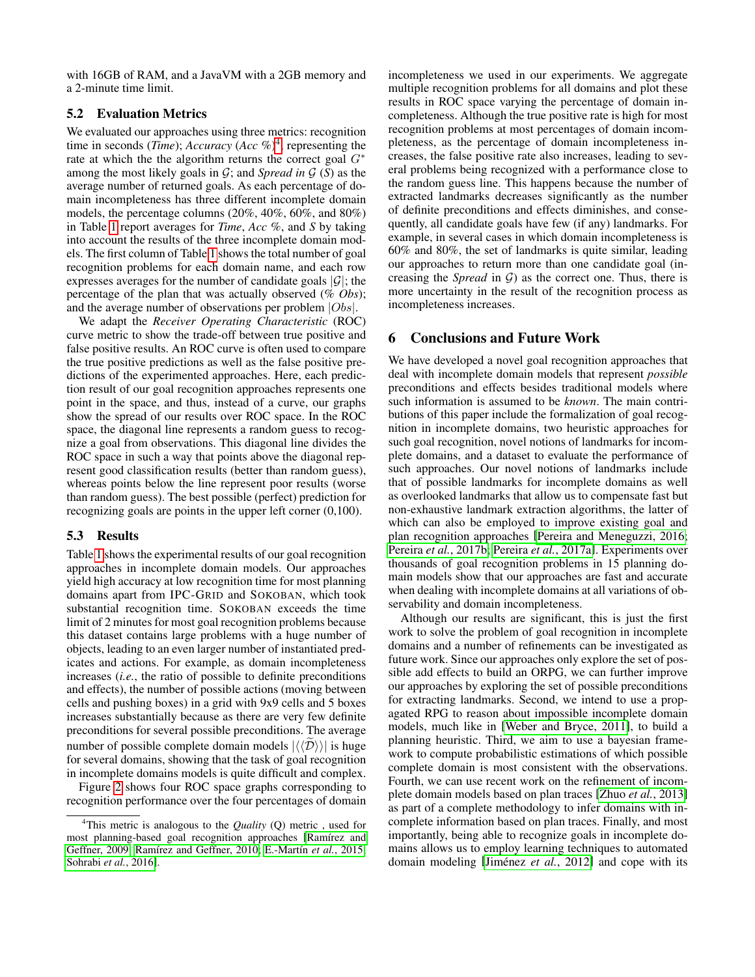with 16GB of RAM, and a JavaVM with a 2GB memory and a 2-minute time limit.

### 5.2 Evaluation Metrics

We evaluated our approaches using three metrics: recognition time in seconds (*Time*); *Accuracy* (*Acc* %)[4](#page-4-0) , representing the rate at which the the algorithm returns the correct goal  $G^*$ among the most likely goals in  $G$ ; and *Spread in*  $G(S)$  as the average number of returned goals. As each percentage of domain incompleteness has three different incomplete domain models, the percentage columns (20%, 40%, 60%, and 80%) in Table [1](#page-5-0) report averages for *Time*, *Acc* %, and *S* by taking into account the results of the three incomplete domain models. The first column of Table [1](#page-5-0) shows the total number of goal recognition problems for each domain name, and each row expresses averages for the number of candidate goals  $|\mathcal{G}|$ ; the percentage of the plan that was actually observed (% *Obs*); and the average number of observations per problem  $|Obs|$ .

We adapt the *Receiver Operating Characteristic* (ROC) curve metric to show the trade-off between true positive and false positive results. An ROC curve is often used to compare the true positive predictions as well as the false positive predictions of the experimented approaches. Here, each prediction result of our goal recognition approaches represents one point in the space, and thus, instead of a curve, our graphs show the spread of our results over ROC space. In the ROC space, the diagonal line represents a random guess to recognize a goal from observations. This diagonal line divides the ROC space in such a way that points above the diagonal represent good classification results (better than random guess), whereas points below the line represent poor results (worse than random guess). The best possible (perfect) prediction for recognizing goals are points in the upper left corner (0,100).

#### 5.3 Results

Table [1](#page-5-0) shows the experimental results of our goal recognition approaches in incomplete domain models. Our approaches yield high accuracy at low recognition time for most planning domains apart from IPC-GRID and SOKOBAN, which took substantial recognition time. SOKOBAN exceeds the time limit of 2 minutes for most goal recognition problems because this dataset contains large problems with a huge number of objects, leading to an even larger number of instantiated predicates and actions. For example, as domain incompleteness increases (*i.e.*, the ratio of possible to definite preconditions and effects), the number of possible actions (moving between cells and pushing boxes) in a grid with 9x9 cells and 5 boxes increases substantially because as there are very few definite preconditions for several possible preconditions. The average number of possible complete domain models  $|\langle\langle \tilde{\mathcal{D}} \rangle\rangle|$  is huge for several domains, showing that the task of goal recognition in incomplete domains models is quite difficult and complex.

Figure [2](#page-5-1) shows four ROC space graphs corresponding to recognition performance over the four percentages of domain incompleteness we used in our experiments. We aggregate multiple recognition problems for all domains and plot these results in ROC space varying the percentage of domain incompleteness. Although the true positive rate is high for most recognition problems at most percentages of domain incompleteness, as the percentage of domain incompleteness increases, the false positive rate also increases, leading to several problems being recognized with a performance close to the random guess line. This happens because the number of extracted landmarks decreases significantly as the number of definite preconditions and effects diminishes, and consequently, all candidate goals have few (if any) landmarks. For example, in several cases in which domain incompleteness is 60% and 80%, the set of landmarks is quite similar, leading our approaches to return more than one candidate goal (increasing the *Spread* in  $G$ ) as the correct one. Thus, there is more uncertainty in the result of the recognition process as incompleteness increases.

## 6 Conclusions and Future Work

We have developed a novel goal recognition approaches that deal with incomplete domain models that represent *possible* preconditions and effects besides traditional models where such information is assumed to be *known*. The main contributions of this paper include the formalization of goal recognition in incomplete domains, two heuristic approaches for such goal recognition, novel notions of landmarks for incomplete domains, and a dataset to evaluate the performance of such approaches. Our novel notions of landmarks include that of possible landmarks for incomplete domains as well as overlooked landmarks that allow us to compensate fast but non-exhaustive landmark extraction algorithms, the latter of which can also be employed to improve existing goal and plan recognition approaches [\[Pereira and Meneguzzi, 2016;](#page-6-3) Pereira *et al.*[, 2017b;](#page-6-19) Pereira *et al.*[, 2017a\]](#page-6-4). Experiments over thousands of goal recognition problems in 15 planning domain models show that our approaches are fast and accurate when dealing with incomplete domains at all variations of observability and domain incompleteness.

Although our results are significant, this is just the first work to solve the problem of goal recognition in incomplete domains and a number of refinements can be investigated as future work. Since our approaches only explore the set of possible add effects to build an ORPG, we can further improve our approaches by exploring the set of possible preconditions for extracting landmarks. Second, we intend to use a propagated RPG to reason about impossible incomplete domain models, much like in [\[Weber and Bryce, 2011\]](#page-6-12), to build a planning heuristic. Third, we aim to use a bayesian framework to compute probabilistic estimations of which possible complete domain is most consistent with the observations. Fourth, we can use recent work on the refinement of incomplete domain models based on plan traces [Zhuo *et al.*[, 2013\]](#page-6-20) as part of a complete methodology to infer domains with incomplete information based on plan traces. Finally, and most importantly, being able to recognize goals in incomplete domains allows us to employ learning techniques to automated domain modeling [Jiménez *et al.*, 2012] and cope with its

<span id="page-4-0"></span><sup>4</sup>This metric is analogous to the *Quality* (Q) metric , used for most planning-based goal recognition approaches [Ramírez and [Geffner, 2009;](#page-6-8) Ramírez and Geffner, 2010; E.-Martín et al., 2015; [Sohrabi](#page-6-1) *et al.*, 2016].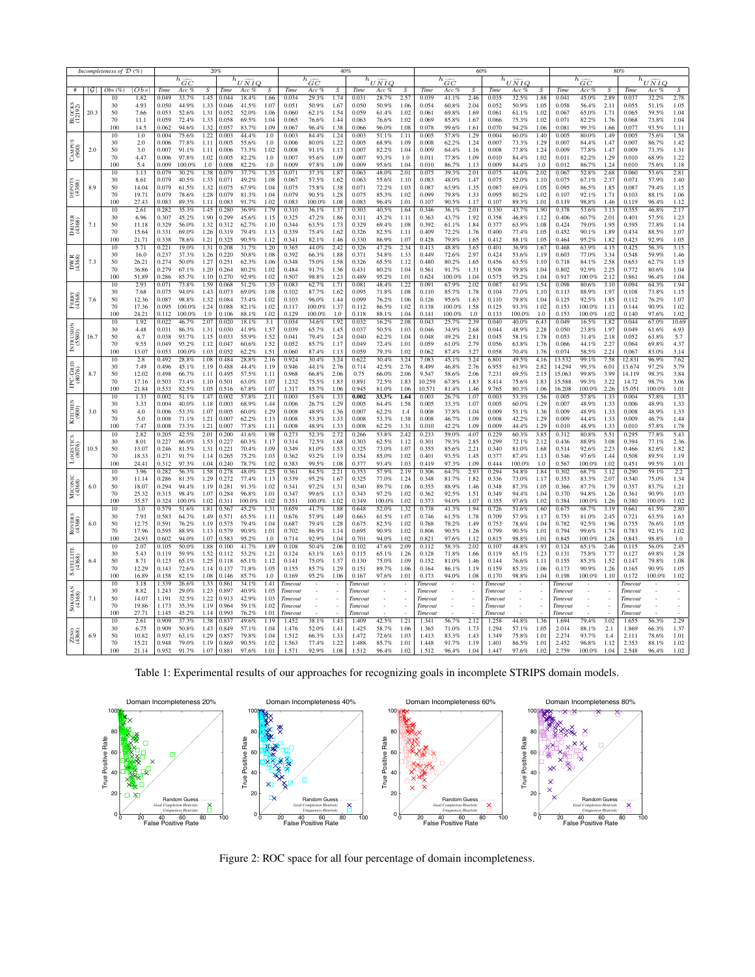<span id="page-5-0"></span>

| Incompleteness of $\tilde{\mathcal{D}}$ (%)                                    |                 |              |                                             | 20%            |                  |                                    |                |                | 40%                    |                  |                   |                        |                  | 60%            |                        |                  |                  |                                   | 80%              |                 |                        |                  |                  |                        |                  |                |                |
|--------------------------------------------------------------------------------|-----------------|--------------|---------------------------------------------|----------------|------------------|------------------------------------|----------------|----------------|------------------------|------------------|-------------------|------------------------|------------------|----------------|------------------------|------------------|------------------|-----------------------------------|------------------|-----------------|------------------------|------------------|------------------|------------------------|------------------|----------------|----------------|
|                                                                                |                 |              | $\overline{h}_{\widetilde{\underline{GC}}}$ |                |                  | $h_{\underline{U\widetilde{NI}Q}}$ |                |                | $h_{\widetilde{GC}}$   |                  |                   | $h_{U\widetilde{NIQ}}$ |                  |                | $h_{\widetilde{GC}}$   |                  |                  | $h_{\overline{U\widetilde{N}IQ}}$ |                  |                 | $h_{\widetilde{GC}}$   |                  |                  | $h_{U\widetilde{NLO}}$ |                  |                |                |
| #                                                                              | $ \mathcal{G} $ | Obs(%)<br>10 | Obs<br>1.82                                 | Time<br>0.049  | Acc %<br>33.7%   | $\overline{S}$<br>1.45             | Time<br>0.044  | Acc %<br>18.4% | $\overline{S}$<br>1.66 | Time<br>0.034    | Acc %             | $\overline{S}$         | Time<br>0.031    | Acc %          | $\overline{S}$<br>2.57 | Time<br>0.039    | Acc %            | $\overline{S}$<br>2.46            | Time<br>0.035    | Acc %<br>32.5%  | $\overline{S}$<br>1.88 | Time<br>0.041    | Acc %            | 2.89                   | Time<br>0.037    | Acc %          | $\overline{S}$ |
| <b>В</b> LOCKS<br>(12192)                                                      |                 | 30           | 4.93                                        | 0.050          | 44.9%            | 1.33                               | 0.046          | 41.5%          | 1.07                   | 0.051            | 29.3%<br>50.9%    | 1.74<br>1.67           | 0.050            | 28.7%<br>50.9% | 1.06                   | 0.054            | 41.1%<br>60.8%   | 2.04                              | 0.052            | 50.9%           | 1.05                   | 0.058            | 45.0%<br>56.4%   | 2.11                   | 0.055            | 32.2%<br>51.1% | 2.78<br>1.05   |
|                                                                                | 20.3            | 50           | 7.66                                        | 0.053          | 52.6%            | 1.31                               | 0.052          | 52.0%          | 1.06                   | 0.060            | 62.1%             | 1.54                   | 0.059            | 61.4%          | 1.02                   | 0.061            | 69.8%            | 1.69                              | 0.061            | 61.1%           | 1.02                   | 0.067            | 65.0%            | 1.71                   | 0.065            | 59.5%          | 1.04           |
|                                                                                |                 | 70           | 11.1                                        | 0.059          | 72.4%            | 1.33                               | 0.058          | 69.5%          | 1.04                   | 0.065            | 76.6%             | 1.44                   | 0.063            | 76.6%          | 1.02                   | 0.069            | 85.8%            | 1.67                              | 0.066            | 75.3%           | 1.02                   | 0.071            | 82.2%            | 1.76                   | 0.068            | 73.8%          | 1.04           |
|                                                                                |                 | 100<br>10    | 14.5                                        | 0.062<br>0.004 | 94.6%            | 1.32                               | 0.057          | 83.7%<br>44.4% | 1.09                   | 0.067<br>0.003   | 96.4%<br>84.4%    | 1.38                   | 0.066<br>0.003   | 96.0%          | 1.08                   | 0.078            | 99.6%<br>57.8%   | 1.61                              | 0.070<br>0.004   | 94.2%<br>60.0%  | 1.06<br>1.40           | 0.081<br>0.005   | 99.3%<br>80.0%   | 1.66                   | 0.077<br>0.005   | 93.5%<br>75.6% | 1.11           |
| CAMPUS<br>(900)                                                                | 2.0             | 30           | 1.0<br>2.0                                  | 0.006          | 75.6%<br>77.8%   | 1.22<br>1.11                       | 0.003<br>0.005 | 55.6%          | 1.0<br>1.0             | 0.006            | 80.0%             | 1.24<br>1.22           | 0.005            | 51.1%<br>68.9% | 1.11<br>1.09           | 0.005<br>0.008   | 62.2%            | 1.29<br>1.24                      | 0.007            | 73.3%           | 1.29                   | 0.007            | 84.4%            | 1.49<br>1.47           | 0.007            | 86.7%          | 1.58<br>1.42   |
|                                                                                |                 | 50           | 3.0                                         | 0.007          | 91.1%            | 1.11                               | 0.006          | 73.3%          | 1.02                   | 0.008            | 91.1%             | 1.13                   | 0.007            | 82.2%          | 1.04                   | 0.009            | 64.4%            | 1.16                              | 0.008            | 77.8%           | 1.24                   | 0.009            | 77.8%            | 1.47                   | 0.009            | 73.3%          | 1.31           |
|                                                                                |                 | 70           | 4.47                                        | 0.006          | 97.8%            | 1.02                               | 0.005          | 82.2%          | 1.0                    | 0.007            | 95.6%             | 1.09                   | 0.007            | 93.3%          | 1.0                    | 0.011            | 77.8%            | 1.09                              | 0.010            | 84.4%           | 1.02                   | 0.011            | 82.2%            | 1.29                   | 0.010            | 68.9%          | 1.22           |
|                                                                                |                 | 100<br>10    | 5.4<br>3.13                                 | 0.009<br>0.079 | 100.0%<br>30.2%  | 1.0<br>1.38                        | 0.008<br>0.079 | 82.2%<br>37.7% | 1.0<br>1.35            | 0.009<br>0.071   | 97.8%<br>37.3%    | 1.09<br>1.87           | 0.009<br>0.063   | 95.6%<br>48.0% | 1.04<br>2.01           | 0.010<br>0.075   | 86.7%<br>39.3%   | 1.13<br>2.01                      | 0.009<br>0.075   | 84.4%<br>44.0%  | 1.0<br>2.02            | 0.012<br>0.067   | 86.7%<br>52.8%   | 1.24<br>2.68           | 0.010<br>0.060   | 75.6%<br>53.6% | 1.18<br>2.81   |
|                                                                                |                 | 30           | 8.61                                        | 0.079          | 40.5%            | 1.33                               | 0.071          | 49.2%          | 1.08                   | 0.067            | 57.5%             | 1.62                   | 0.063            | 55.6%          | 1.10                   | 0.083            | 48.0%            | 1.47                              | 0.075            | 52.0%           | 1.10                   | 0.075            | 67.1%            | 2.37                   | 0.071            | 57.9%          | 1.40           |
|                                                                                | 8.9             | 50           | 14.04                                       | 0.079          | 61.5%            | 1.32                               | 0.075          | 67.9%          | 1.04                   | 0.075            | 75.8%             | 1.38                   | 0.071            | 72.2%          | 1.03                   | 0.087            | 63.9%            | 1.35                              | 0.087            | 69.0%           | 1.05                   | 0.095            | 86.5%            | 1.85                   | 0.087            | 79.4%          | 1.15           |
|                                                                                |                 | 70           | 19.71                                       | 0.079          | 78.6%            | 1.28                               | 0.079          | 81.3%          | 1.04                   | 0.079            | 90.5%             | 1.28                   | 0.075            | 85.3%          | 1.02                   | 0.099            | 79.8%            | 1.33                              | 0.095            | 80.2%           | 1.02                   | 0.107            | 92.1%            | 1.71                   | 0.103            | 88.1%          | 1.06           |
|                                                                                |                 | 100<br>10    | 27.43<br>2.61                               | 0.083<br>0.282 | 89.3%<br>35.3%   | 1.11<br>1.45                       | 0.083<br>0.280 | 91.7%<br>36.9% | 1.02<br>1.79           | 0.083<br>0.310   | 100.0%<br>36.1%   | 1.08<br>1.37           | 0.083<br>0.303   | 96.4%<br>40.5% | 1.01<br>1.64           | 0.107<br>0.346   | 90.5%<br>36.1%   | 1.17<br>2.01                      | 0.107<br>0.330   | 89.3%<br>43.7%  | 1.01<br>1.90           | 0.119<br>0.378   | 98.8%<br>53.6%   | 1.46<br>3.13           | 0.119<br>0.355   | 96.4%<br>46.8% | 1.12<br>2.17   |
| $\begin{array}{c} \text{DrIVER} \\ \text{(4368)} \end{array}$<br>DWR<br>(4368) | 7.1<br>7.3      | 30           | 6.96                                        | 0.307          | 45.2%            | 1.90                               | 0.299          | 45.6%          | 1.15                   | 0.325            | 47.2%             | 1.86                   | 0.311            | 45.2%          | 1.11                   | 0.363            | 43.7%            | 1.92                              | 0.358            | 46.8%           | 1.12                   | 0.406            | 60.7%            | 2.01                   | 0.401            | 57.5%          | 1.23           |
|                                                                                |                 | 50           | 11.18                                       | 0.329          | 56.0%            | 1.32                               | 0.312          | 62.7%          | 1.10                   | 0.344            | 63.5%             | 1.73                   | 0.329            | 69.4%          | 1.08                   | 0.392            | 61.1%            | 1.84                              | 0.377            | 63.9%           | 1.08                   | 0.424            | 79.0%            | 1.95                   | 0.395            | 77.8%          | 1.14           |
|                                                                                |                 | 70           | 15.64                                       | 0.331          | 69.0%            | 1.26                               | 0.319          | 79.4%          | 1.13                   | 0.339            | 75.4%             | 1.62                   | 0.326            | 82.5%          | 1.11                   | 0.409            | 72.2%            | 1.76                              | 0.400            | 77.4%           | 1.05                   | 0.452            | 90.1%            | 1.89                   | 0.434            | 88.5%          | 1.07           |
|                                                                                |                 | 100<br>10    | 21.71<br>5.71                               | 0.338<br>0.221 | 78.6%<br>19.0%   | 1.21<br>1.31                       | 0.325<br>0.208 | 90.5%<br>31.7% | 1.12<br>1.20           | 0.341<br>0.365   | 82.1%<br>44.0%    | 1.46<br>2.42           | 0.330<br>0.326   | 86.9%<br>47.2% | 1.07<br>2.34           | 0.428<br>0.413   | 79.8%<br>48.8%   | 1.65<br>3.65                      | 0.412<br>0.401   | 88.1%<br>36.9%  | 1.05<br>1.67           | 0.464<br>0.468   | 95.2%<br>63.9%   | 1.82<br>4.15           | 0.423<br>0.425   | 92.9%<br>56.3% | 1.05<br>3.15   |
|                                                                                |                 | 30           | 16.0                                        | 0.237          | 37.3%            | 1.26                               | 0.220          | 50.8%          | 1.08                   | 0.392            | 66.3%             | 1.88                   | 0.371            | 54.8%          | 1.33                   | 0.449            | 72.6%            | 2.97                              | 0.424            | 53.6%           | 1.19                   | 0.603            | 77.0%            | 3.34                   | 0.548            | 59.9%          | 1.46           |
|                                                                                |                 | 50           | 26.21                                       | 0.274          | 50.0%            | 1.27                               | 0.251          | 62.3%          | 1.06                   | 0.348            | 75.0%             | 1.58                   | 0.326            | 65.5%          | 1.12                   | 0.480            | 80.2%            | 1.65                              | 0.456            | 63.5%           | 1.10                   | 0.718            | 84.1%            | 2.58                   | 0.653            | 62.7%          | 1.15           |
|                                                                                |                 | 70<br>100    | 36.86<br>51.89                              | 0.279<br>0.286 | 67.1%<br>85.7%   | 1.20<br>1.10                       | 0.264<br>0.270 | 80.2%<br>92.9% | 1.02<br>1.02           | 0.484<br>0.507   | 91.7%<br>98.8%    | 1.36<br>1.23           | 0.431<br>0.489   | 80.2%<br>95.2% | 1.04<br>1.01           | 0.561<br>0.624   | 91.7%<br>100.0%  | 1.31<br>1.04                      | 0.508<br>0.575   | 79.8%<br>95.2%  | 1.04<br>1.04           | 0.802<br>0.917   | 92.9%<br>100.0%  | 2.25<br>2.12           | 0.772<br>0.861   | 80.6%<br>96.4% | 1.04<br>1.04   |
|                                                                                |                 | 10           | 2.93                                        | 0.071          | 73.8%            | 1.59                               | 0.068          | 51.2%          | 1.35                   | 0.083            | 62.7%             | 1.71                   | 0.081            | 48.4%          | 1.22                   | 0.091            | 67.9%            | 2.02                              | 0.087            | 61.9%           | 1.54                   | 0.098            | 80.6%            | 3.10                   | 0.094            | 64.3%          | 1.94           |
| FERRY<br>(4368)                                                                | 7.6             | 30           | 7.68                                        | 0.075          | 94.0%            | 1.43                               | 0.073          | 69.0%          | 1.08                   | 0.102            | 87.7%             | 1.62                   | 0.095            | 71.8%          | 1.08                   | 0.110            | 85.7%            | 1.78                              | 0.104            | 77.0%           | 1.10                   | 0.113            | 88.9%            | 1.97                   | 0.108            | 73.8%          | 1.15           |
|                                                                                |                 | 50           | 12.36                                       | 0.087          | 98.8%            | 1.32                               | 0.084          | 73.4%          | 1.02                   | 0.103            | 96.0%             | 1.44                   | 0.099            | 76.2%          | 1.06                   | 0.126            | 95.6%            | 1.63                              | 0.110            | 79.8%           | 1.04                   | 0.125            | 92.5%            | 1.85                   | 0.112            | 76.2%          | 1.07           |
|                                                                                |                 | 70<br>100    | 17.36<br>24.21                              | 0.095<br>0.112 | 100.0%<br>100.0% | 1.24<br>1.0                        | 0.088<br>0.106 | 82.1%<br>88.1% | 1.02<br>1.02           | 0.117<br>0.129   | 100.0%<br>100.0%  | 1.37<br>1.0            | 0.112<br>0.118   | 86.5%<br>88.1% | 1.02<br>1.04           | 0.138<br>0.141   | 100.0%<br>100.0% | 1.58<br>1.0                       | 0.125<br>0.133   | 93.3%<br>100.0% | 1.02<br>1.0            | 0.153<br>0.153   | 100.0%<br>100.0% | 1.11<br>1.02           | 0.144<br>0.140   | 90.9%<br>97.6% | 1.02<br>1.02   |
| INTRUSION<br>(5580)                                                            | 16.7            | 10           | 1.92                                        | 0.022          | 46.7%            | 2.07                               | 0.020          | 18.1%          | 3.1                    | 0.034            | 34.6%             | 1.92                   | 0.032            | 16.2%          | 2.08                   | 0.043            | 25.7%            | 2.39                              | 0.040            | 40.0%           | 6.43                   | 0.049            | 16.5%            | 1.82                   | 0.044            | 67.0%          | 10.69          |
|                                                                                |                 | 30           | 4.48                                        | 0.031          | 86.3%            | 1.31                               | 0.030          | 41.9%          | 1.57                   | 0.039            | 65.7%             | 1.45                   | 0.037            | 50.5%          | 1.03                   | 0.046            | 34.9%            | 2.68                              | 0.044            | 48.9%           | 2.28                   | 0.050            | 23.8%            | 1.97                   | 0.049            | 61.6%          | 6.93           |
|                                                                                |                 | 50<br>70     | 6.7<br>9.55                                 | 0.038<br>0.049 | 93.7%<br>95.2%   | 1.15<br>1.12                       | 0.033<br>0.047 | 55.9%<br>60.6% | 1.52<br>1.52           | 0.041<br>0.052   | 79.4%<br>85.7%    | 1.24<br>1.17           | 0.040<br>0.049   | 62.2%<br>72.4% | 1.04<br>1.01           | 0.048<br>0.059   | 49.2%<br>61.0%   | 2.81<br>2.79                      | 0.045<br>0.056   | 58.1%<br>63.8%  | 1.78<br>1.76           | 0.053<br>0.066   | 31.4%<br>44.1%   | 2.18<br>2.27           | 0.052<br>0.064   | 63.8%<br>69.8% | 5.7<br>4.37    |
|                                                                                |                 | 100          | 13.07                                       | 0.053          | 100.0%           | 1.03                               | 0.052          | 62.2%          | 1.51                   | 0.060            | 87.4%             | 1.13                   | 0.059            | 79.3%          | 1.02                   | 0.062            | 87.4%            | 3.27                              | 0.058            | 70.4%           | 1.76                   | 0.074            | 58.5%            | 2.21                   | 0.067            | 83.0%          | 3.14           |
|                                                                                |                 | 10           | 2.8                                         | 0.492          | 28.8%            | 1.08                               | 0.484          | 28.8%          | 2.16                   | 0.924            | 30.4%             | 3.24                   | 0.622            | 30.4%          | 3.24                   | 7.083            | 45.1%            | 3.24                              | 6.801            | 49.5%           | 4.16                   | 13.532           | 99.1%            | 7.58                   | 12.831           | 96.9%          | 7.62           |
| IPC-GRID<br>(8076)                                                             | 8.7             | 30           | 7.49                                        | 0.496          | 45.1%            | 1.19                               | 0.488          | 44.4%          | 1.19                   | 0.946            | 44.1%             | 2.76                   | 0.714            | 42.5%          | 2.76                   | 8.499            | 46.8%            | 2.76                              | 6.955            | 61.9%           | 2.82                   | 14.294           | 99.3%            | 6.01                   | 13.674           | 97.2%          | 5.79           |
|                                                                                |                 | 50<br>70     | 12.02<br>17.16                              | 0.498<br>0.503 | 66.7%<br>73.4%   | 1.11<br>1.10                       | 0.495<br>0.501 | 57.5%<br>63.0% | 1.11<br>1.07           | 0.968<br>1.232   | $66.8\%$<br>75.5% | 2.06<br>1.83           | 0.75<br>0.891    | 66.0%<br>72.5% | 2.06<br>1.83           | 9.547<br>10.259  | 58.6%<br>67.8%   | 2.06<br>1.83                      | 7.231<br>8.414   | 69.5%<br>75.6%  | 2.15<br>1.83           | 15.063<br>15.588 | 99.8%<br>99.3%   | 3.99<br>3.22           | 14.119<br>14.72  | 98.3%<br>98.7% | 3.84<br>3.06   |
|                                                                                |                 | 100          | 21.84                                       | 0.533          | 82.5%            | 1.05                               | 0.516          | 67.8%          | 1.07                   | 1.317            | 85.7%             | 1.06                   | 0.945            | 81.0%          | 1.06                   | 10.571           | 81.4%            | 1.46                              | 9.765            | 80.3%           | 1.06                   | 16.208           | 100.0%           | 2.26                   | 15.051           | 100.0%         | 1.01           |
| $K$ ITCHEN $(900)$                                                             | 3.0             | 10           | 1.33                                        | 0.002          | 51.1%            | 1.47                               | 0.002          | 57.8%          | 2.11                   | 0.003            | 15.6%             | 1.33                   | 0.002            | 33.3%          | 1.64                   | 0.003            | 26.7%            | 1.07                              | 0.003            | 53.3%           | 1.56                   | 0.005            | 57.8%            | 1.33                   | 0.004            | 57.8%          | 1.33           |
|                                                                                |                 | 30<br>50     | 3.33<br>4.0                                 | 0.004<br>0.006 | 40.0%<br>53.3%   | 1.18<br>1.07                       | 0.003<br>0.005 | 68.9%<br>60.0% | 1.44<br>1.29           | 0.006<br>0.008   | 26.7%<br>48.9%    | 1.29                   | 0.005<br>0.007   | 64.4%<br>62.2% | 1.58<br>1.4            | 0.005<br>0.008   | 33.3%<br>37.8%   | 1.07<br>1.04                      | 0.005<br>0.009   | 60.0%<br>51.1%  | 1.29<br>1.36           | 0.007<br>0.009   | 48.9%            | 1.33<br>1.33           | 0.006<br>0.008   | 48.9%<br>48.9% | 1.33           |
|                                                                                |                 | 70           | 5.0                                         | 0.008          | 71.1%            | 1.21                               | 0.007          | 62.2%          | 1.13                   | 0.008            | 53.3%             | 1.36<br>1.33           | 0.008            | 53.3%          | 1.38                   | 0.008            | 46.7%            | 1.09                              | 0.008            | 42.2%           | 1.29                   | 0.009            | 48.9%<br>44.4%   | 1.33                   | 0.009            | 46.7%          | 1.33<br>1.44   |
|                                                                                |                 | 100          | 7.47                                        | 0.008          | 73.3%            | 1.21                               | 0.007          | 77.8%          | 1.11                   | 0.008            | 48.9%             | 1.33                   | 0.008            | 62.2%          | 1.31                   | 0.010            | 42.2%            | 1.09                              | 0.009            | 44.4%           | 1.29                   | 0.010            | 48.9%            | 1.33                   | 0.010            | 57.8%          | 1.78           |
| $\frac{L_{\rm OGISTICS}}{(8076)}$                                              | 10.5            | 10           | 2.82                                        | 0.205          | 42.5%            | 2.01                               | 0.200          | 41.6%          | 1.98                   | 0.273            | 52.3%             | 2.72                   | 0.266            | 53.8%          | 2.42                   | 0.233            | 59.0%            | 4.07                              | 0.229            | 60.3%           | 3.85                   | 0.312            | 80.8%            | 5.51                   | 0.295            | 77.8%          | 5.43           |
|                                                                                |                 | 30<br>50     | 8.01<br>13.07                               | 0.227<br>0.246 | 66.0%<br>81.5%   | 1.53<br>1.31                       | 0.227<br>0.221 | 60.3%<br>70.4% | 1.17<br>1.09           | 0.314<br>0.349   | 72.5%<br>81.0%    | 1.68<br>1.53           | 0.303<br>0.325   | 62.5%<br>73.0% | 1.12<br>1.07           | 0.301<br>0.355   | 79.3%<br>85.6%   | 2.85<br>2.21                      | 0.299<br>0.340   | 72.1%<br>81.0%  | 2.12<br>1.68           | 0.436<br>0.514   | 88.9%<br>92.6%   | 3.08<br>2.23           | 0.394<br>0.466   | 77.1%<br>82.6% | 2.36<br>1.82   |
|                                                                                |                 | 70           | 18.33                                       | 0.271          | 91.7%            | 1.14                               | 0.265          | 75.2%          | 1.03                   | 0.362            | 93.2%             | 1.19                   | 0.354            | 85.0%          | 1.02                   | 0.401            | 93.5%            | 1.45                              | 0.377            | 87.4%           | 1.13                   | 0.546            | 97.6%            | 1.44                   | 0.508            | 89.5%          | 1.19           |
|                                                                                |                 | 100          | 24.41                                       | 0.312          | 97.3%            | 1.04                               | 0.240          | 78.7%          | 1.02                   | 0.383            | 99.5%             | 1.08                   | 0.377            | 93.4%          | 1.03                   | 0.419            | 97.3%            | 1.09                              | 0.444            | 100.0%          | 1.0                    | 0.567            | 100.0%           | 1.02                   | 0.451            | 99.5%          | 1.01           |
| MICONIC<br>(4368)                                                              | 6.0             | 10<br>30     | 3.96                                        | 0.282          | 56.3%            | 1.58<br>1.29                       | 0.278          | 48.0%          | 1.25                   | 0.361<br>0.339   | 84.5%             | 2.21                   | 0.353<br>0.325   | 57.9%          | 2.19                   | 0.306<br>0.348   | 64.7%            | 2.93                              | 0.294<br>0.336   | 54.8%           | 1.84<br>1.17           | 0.302<br>0.353   | 68.7%            | 3.12<br>2.07           | 0.290<br>0.340   | 59.1%<br>75.0% | 2.2            |
|                                                                                |                 | 50           | 11.14<br>18.07                              | 0.286<br>0.294 | 81.3%<br>94.4%   | 1.19                               | 0.272<br>0.281 | 77.4%<br>91.3% | 1.13<br>1.02           | 0.341            | 95.2%<br>97.2%    | 1.67<br>1.31           | 0.340            | 77.0%<br>89.7% | 1.24<br>1.06           | 0.355            | 81.7%<br>88.9%   | 1.82<br>1.46                      | 0.348            | 73.0%<br>87.3%  | 1.05                   | 0.366            | 83.3%<br>87.7%   | 1.79                   | 0.357            | 83.7%          | 1.34<br>1.21   |
|                                                                                |                 | 70           | 25.32                                       | 0.315          | 98.4%            | 1.07                               | 0.284          | 96.8%          | 1.01                   | 0.347            | 99.6%             | 1.13                   | 0.343            | 97.2%          | 1.02                   | 0.362            | 92.5%            | 1.51                              | 0.349            | 94.4%           | 1.04                   | 0.370            | 94.8%            | 1.26                   | 0.361            | 90.9%          | 1.03           |
|                                                                                |                 | 100          | 35.57                                       | 0.324          | 100.0%           | 1.02                               | 0.311          | 100.0%         | 1.02                   | 0.351            | 100.0%            | 1.02                   | 0.349            | 100.0%         | 1.02                   | 0.373            | 94.0%            | 1.07                              | 0.355            | 97.6%           | 1.02                   | 0.384            | 100.0%           | 1.26                   | 0.380            | 100.0%         | 1.02           |
| $\overset{\text{ROVERS}}{\left(4368\right)}$                                   | 6.0             | 10<br>30     | 3.0<br>7.93                                 | 0.579<br>0.583 | 51.6%<br>64.7%   | 1.81<br>1.49                       | 0.567<br>0.571 | 45.2%<br>65.5% | 1.31<br>1.11           | 0.659<br>0.676   | 41.7%<br>57.9%    | 1.88<br>1.49           | 0.648<br>0.663   | 52.0%<br>61.5% | 1.32<br>1.07           | 0.738<br>0.746   | 41.3%<br>61.5%   | 1.94<br>1.78                      | 0.726<br>0.709   | 51.6%<br>57.9%  | 1.60<br>1.17           | 0.675<br>0.753   | 68.7%<br>81.0%   | 3.19<br>2.45           | 0.661<br>0.721   | 61.5%<br>63.5% | 2.80<br>1.63   |
|                                                                                |                 | 50           | 12.75                                       | 0.591          | 76.2%            | 1.19                               | 0.575          | 79.4%          | 1.04                   | 0.687            | 79.4%             | 1.28                   | 0.675            | 82.5%          | 1.02                   | 0.768            | 78.2%            | 1.49                              | 0.753            | 78.6%           | 1.04                   | 0.782            | 92.5%            | 1.96                   | 0.755            | 76.6%          | 1.05           |
|                                                                                |                 | 70           | 17.96                                       | 0.595          | 88.9%            | 1.13                               | 0.579          | 90.9%          | 1.01                   | 0.702            | 86.9%             | 1.14                   | 0.695            | 90.9%          | 1.02                   | 0.806            | 90.5%            | 1.26                              | 0.799            | 90.5%           | 1.01                   | 0.794            | 99.6%            | 1.74                   | 0.783            | 92.1%          | 1.02           |
|                                                                                |                 | 100          | 24.93                                       | 0.602          | 94.0%            | 1.07                               | 0.583          | 95.2%          | 1.0                    | 0.714            | 92.9%             | 1.04                   | 0.701            | 94.0%          | 1.02                   | 0.821            | 97.6%            | 1.12                              | 0.815            | 98.8%           | 1.01                   | 0.845            | 100.0%           | 1.28                   | 0.843            | 98.8%          | 1.0            |
| $\begin{array}{c} \text{SATELLITE} \\ \text{(4368)} \end{array}$               | 6.4             | 10<br>30     | 2.07<br>5.43                                | 0.105<br>0.119 | 50.0%<br>59.9%   | 1.88<br>1.52                       | 0.100<br>0.112 | 41.7%<br>53.2% | 1.89<br>1.21           | 0.108<br>0.124   | 50.4%<br>63.1%    | 2.06<br>1.63           | 0.102<br>0.115   | 47.6%<br>65.1% | 2.09<br>1.26           | 0.112<br>0.128   | 58.3%<br>71.8%   | 2.02<br>1.66                      | 0.107<br>0.119   | 48.8%<br>65.1%  | 1.93<br>1.23           | 0.124<br>0.131   | 65.1%<br>75.8%   | 2.46<br>1.77           | 0.115<br>0.127   | 56.0%<br>69.8% | 2.45<br>1.28   |
|                                                                                |                 | 50           | 8.71                                        | 0.123          | 65.1%            | 1.25                               | 0.118          | 65.1%          | 1.12                   | 0.141            | 75.0%             | 1.37                   | 0.130            | 75.0%          | 1.09                   | 0.152            | 81.0%            | 1.46                              | 0.144            | 76.6%           | 1.11                   | 0.155            | 85.3%            | 1.52                   | 0.147            | 79.8%          | 1.08           |
|                                                                                |                 | 70           | 12.29                                       | 0.143          | 72.6%            | 1.14                               | 0.137          | 71.8%          | 1.05                   | 0.155            | 85.7%             | 1.29                   | 0.151            | 89.7%          | 1.06                   | 0.164            | 86.1%            | 1.19                              | 0.159            | 85.3%           | 1.06                   | 0.173            | 90.9%            | 1.26                   | 0.165            | 90.9%          | 1.05           |
|                                                                                |                 | 100<br>10    | 16.89<br>3.18                               | 0.158<br>1.339 | 82.1%<br>26.6%   | 1.08<br>1.33                       | 0.146<br>0.861 | 85.7%<br>34.1% | 1.0<br>1.41            | 0.169<br>Timeout | 95.2%             | 1.06                   | 0.167<br>Timeout | 97.6%          | 1.01                   | 0.173<br>Timeout | 94.0%            | 1.08                              | 0.170<br>Timeout | 98.8%           | 1.04                   | 0.198<br>Timeout | 100.0%           | 1.10                   | 0.172<br>Timeout | 100.0%         | 1.02           |
|                                                                                |                 | 30           | 8.82                                        | 1.243          | 29.0%            | 1.23                               | 0.897          | 40.9%          | 1.05                   | Timeout          |                   |                        | Timeout          |                |                        | Timeout          |                  |                                   | Timeout          |                 |                        | Timeout          |                  |                        | Timeout          |                |                |
| $\frac{\text{SOKOBAN}}{\text{(4368)}}$                                         | 7.1             | 50           | 14.07                                       | 1.191          | 32.5%            | 1.22                               | 0.913          | 42.9%          | 1.03                   | Timeout          |                   |                        | Timeout          |                |                        | Timeout          |                  |                                   | Timeout          |                 |                        | Timeout          |                  |                        | Timeout          |                |                |
|                                                                                |                 | 70           | 19.86                                       | 1.173          | 35.3%            | 1.19                               | 0.964          | 59.1%          | 1.02                   | Timeout          |                   |                        | Timeout          |                |                        | Timeout          |                  |                                   | Timeout          |                 |                        | Timeout          |                  |                        | Timeout          |                |                |
|                                                                                |                 | 100<br>10    | 27.71<br>2.61                               | 1.145<br>0.909 | 45.2%<br>37.3%   | 1.14<br>1.38                       | 0.993<br>0.837 | 76.2%<br>49.6% | 1.01<br>1.19           | Timeout<br>1.452 | 38.1%             | 1.43                   | Timeout<br>1.409 | 42.5%          | 1.21                   | Timeout<br>1.341 | 56.7%            | 2.12                              | Timeout<br>1.258 | 44.8%           | 1.36                   | Timeout<br>1.694 | 79.4%            | 3.02                   | Timeou<br>1.655  | 56.3%          | 2.29           |
| ZENO<br>(4368)                                                                 | 6.9             | 30           | 6.75                                        | 0.909          | 50.8%            | 1.43                               | 0.849          | 57.1%          | 1.04                   | 1.476            | 52.0%             | 1.41                   | 1.425            | 58.7%          | 1.06                   | 1.365            | 71.0%            | 1.73                              | 1.294            | 57.1%           | 1.05                   | 2.014            | 88.1%            | 2.1                    | 1.869            | 66.3%          | 1.37           |
|                                                                                |                 | 50           | 10.82                                       | 0.937          | 63.1%            | 1.29                               | 0.857          | 79.8%          | 1.04                   | 1.512            | 66.3%             | 1.33                   | 1.472            | 72.6%          | 1.03                   | 1.413            | 83.3%            | 1.43                              | 1.349            | 75.8%           | 1.01                   | 2.274            | 93.7%            | 1.4                    | 2.111            | 78.6%          | 1.01           |
|                                                                                |                 | 70<br>100    | 15.21<br>21.14                              | 0.948<br>0.952 | 79.0%<br>91.7%   | 1.19<br>1.07                       | 0.869<br>0.881 | 90.5%<br>97.6% | 1.02<br>1.01           | 1.563<br>1.571   | 77.4%<br>92.9%    | 1.22<br>1.08           | 1.488<br>1.512   | 85.7%<br>96.4% | 1.01<br>1.02           | 1.448<br>1.512   | 91.7%<br>96.4%   | 1.19<br>1.04                      | 1.401<br>1.447   | 86.5%<br>97.6%  | 1.01<br>1.02           | 2.452<br>2.759   | 96.8%<br>100.0%  | 1.12<br>1.04           | 2.353<br>2.548   | 88.1%<br>96.4% | 1.02<br>1.02   |
|                                                                                |                 |              |                                             |                |                  |                                    |                |                |                        |                  |                   |                        |                  |                |                        |                  |                  |                                   |                  |                 |                        |                  |                  |                        |                  |                |                |

Table 1: Experimental results of our approaches for recognizing goals in incomplete STRIPS domain models.

<span id="page-5-1"></span>

Figure 2: ROC space for all four percentage of domain incompleteness.